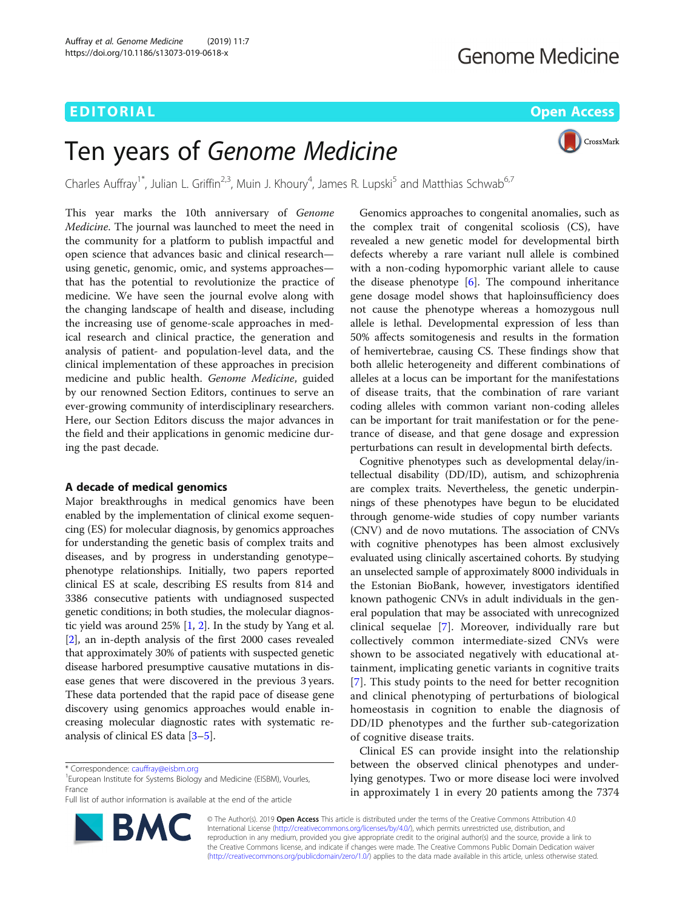# EDITORIAL AND Open Access to the contract of the contract of the contract of the contract of the contract of the contract of the contract of the contract of the contract of the contract of the contract of the contract of t

CrossMark

# Ten years of Genome Medicine

Charles Auffray<sup>1\*</sup>, Julian L. Griffin<sup>2,3</sup>, Muin J. Khoury<sup>4</sup>, James R. Lupski<sup>5</sup> and Matthias Schwab<sup>6,7</sup>

This year marks the 10th anniversary of Genome Medicine. The journal was launched to meet the need in the community for a platform to publish impactful and open science that advances basic and clinical research using genetic, genomic, omic, and systems approaches that has the potential to revolutionize the practice of medicine. We have seen the journal evolve along with the changing landscape of health and disease, including the increasing use of genome-scale approaches in medical research and clinical practice, the generation and analysis of patient- and population-level data, and the clinical implementation of these approaches in precision medicine and public health. Genome Medicine, guided by our renowned Section Editors, continues to serve an ever-growing community of interdisciplinary researchers. Here, our Section Editors discuss the major advances in the field and their applications in genomic medicine during the past decade.

# A decade of medical genomics

Major breakthroughs in medical genomics have been enabled by the implementation of clinical exome sequencing (ES) for molecular diagnosis, by genomics approaches for understanding the genetic basis of complex traits and diseases, and by progress in understanding genotype– phenotype relationships. Initially, two papers reported clinical ES at scale, describing ES results from 814 and 3386 consecutive patients with undiagnosed suspected genetic conditions; in both studies, the molecular diagnostic yield was around 25% [[1,](#page-4-0) [2](#page-4-0)]. In the study by Yang et al. [[2\]](#page-4-0), an in-depth analysis of the first 2000 cases revealed that approximately 30% of patients with suspected genetic disease harbored presumptive causative mutations in disease genes that were discovered in the previous 3 years. These data portended that the rapid pace of disease gene discovery using genomics approaches would enable increasing molecular diagnostic rates with systematic reanalysis of clinical ES data [[3](#page-4-0)–[5](#page-4-0)].

Full list of author information is available at the end of the article



Genomics approaches to congenital anomalies, such as the complex trait of congenital scoliosis (CS), have revealed a new genetic model for developmental birth defects whereby a rare variant null allele is combined with a non-coding hypomorphic variant allele to cause the disease phenotype [\[6](#page-4-0)]. The compound inheritance gene dosage model shows that haploinsufficiency does not cause the phenotype whereas a homozygous null allele is lethal. Developmental expression of less than 50% affects somitogenesis and results in the formation of hemivertebrae, causing CS. These findings show that both allelic heterogeneity and different combinations of alleles at a locus can be important for the manifestations of disease traits, that the combination of rare variant coding alleles with common variant non-coding alleles can be important for trait manifestation or for the penetrance of disease, and that gene dosage and expression perturbations can result in developmental birth defects.

Cognitive phenotypes such as developmental delay/intellectual disability (DD/ID), autism, and schizophrenia are complex traits. Nevertheless, the genetic underpinnings of these phenotypes have begun to be elucidated through genome-wide studies of copy number variants (CNV) and de novo mutations. The association of CNVs with cognitive phenotypes has been almost exclusively evaluated using clinically ascertained cohorts. By studying an unselected sample of approximately 8000 individuals in the Estonian BioBank, however, investigators identified known pathogenic CNVs in adult individuals in the general population that may be associated with unrecognized clinical sequelae [\[7](#page-4-0)]. Moreover, individually rare but collectively common intermediate-sized CNVs were shown to be associated negatively with educational attainment, implicating genetic variants in cognitive traits [[7\]](#page-4-0). This study points to the need for better recognition and clinical phenotyping of perturbations of biological homeostasis in cognition to enable the diagnosis of DD/ID phenotypes and the further sub-categorization of cognitive disease traits.

Clinical ES can provide insight into the relationship between the observed clinical phenotypes and underlying genotypes. Two or more disease loci were involved in approximately 1 in every 20 patients among the 7374

© The Author(s). 2019 Open Access This article is distributed under the terms of the Creative Commons Attribution 4.0 International License [\(http://creativecommons.org/licenses/by/4.0/](http://creativecommons.org/licenses/by/4.0/)), which permits unrestricted use, distribution, and reproduction in any medium, provided you give appropriate credit to the original author(s) and the source, provide a link to the Creative Commons license, and indicate if changes were made. The Creative Commons Public Domain Dedication waiver [\(http://creativecommons.org/publicdomain/zero/1.0/](http://creativecommons.org/publicdomain/zero/1.0/)) applies to the data made available in this article, unless otherwise stated.

<sup>\*</sup> Correspondence: [cauffray@eisbm.org](mailto:cauffray@eisbm.org) <sup>1</sup>

<sup>&</sup>lt;sup>1</sup> European Institute for Systems Biology and Medicine (EISBM), Vourles, France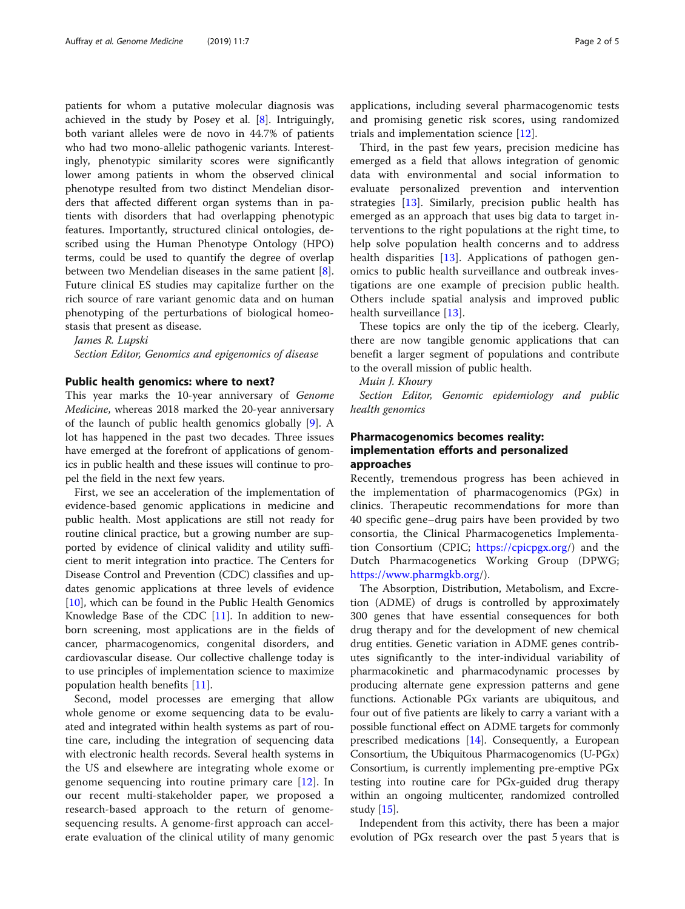patients for whom a putative molecular diagnosis was achieved in the study by Posey et al. [[8\]](#page-4-0). Intriguingly, both variant alleles were de novo in 44.7% of patients who had two mono-allelic pathogenic variants. Interestingly, phenotypic similarity scores were significantly lower among patients in whom the observed clinical phenotype resulted from two distinct Mendelian disorders that affected different organ systems than in patients with disorders that had overlapping phenotypic features. Importantly, structured clinical ontologies, described using the Human Phenotype Ontology (HPO) terms, could be used to quantify the degree of overlap between two Mendelian diseases in the same patient  $[8]$  $[8]$ . Future clinical ES studies may capitalize further on the rich source of rare variant genomic data and on human phenotyping of the perturbations of biological homeostasis that present as disease.

#### James R. Lupski

Section Editor, Genomics and epigenomics of disease

## Public health genomics: where to next?

This year marks the 10-year anniversary of Genome Medicine, whereas 2018 marked the 20-year anniversary of the launch of public health genomics globally [\[9](#page-4-0)]. A lot has happened in the past two decades. Three issues have emerged at the forefront of applications of genomics in public health and these issues will continue to propel the field in the next few years.

First, we see an acceleration of the implementation of evidence-based genomic applications in medicine and public health. Most applications are still not ready for routine clinical practice, but a growing number are supported by evidence of clinical validity and utility sufficient to merit integration into practice. The Centers for Disease Control and Prevention (CDC) classifies and updates genomic applications at three levels of evidence [[10\]](#page-4-0), which can be found in the Public Health Genomics Knowledge Base of the CDC [\[11\]](#page-4-0). In addition to newborn screening, most applications are in the fields of cancer, pharmacogenomics, congenital disorders, and cardiovascular disease. Our collective challenge today is to use principles of implementation science to maximize population health benefits [[11\]](#page-4-0).

Second, model processes are emerging that allow whole genome or exome sequencing data to be evaluated and integrated within health systems as part of routine care, including the integration of sequencing data with electronic health records. Several health systems in the US and elsewhere are integrating whole exome or genome sequencing into routine primary care [[12\]](#page-4-0). In our recent multi-stakeholder paper, we proposed a research-based approach to the return of genomesequencing results. A genome-first approach can accelerate evaluation of the clinical utility of many genomic applications, including several pharmacogenomic tests and promising genetic risk scores, using randomized trials and implementation science [[12](#page-4-0)].

Third, in the past few years, precision medicine has emerged as a field that allows integration of genomic data with environmental and social information to evaluate personalized prevention and intervention strategies [[13\]](#page-4-0). Similarly, precision public health has emerged as an approach that uses big data to target interventions to the right populations at the right time, to help solve population health concerns and to address health disparities [[13\]](#page-4-0). Applications of pathogen genomics to public health surveillance and outbreak investigations are one example of precision public health. Others include spatial analysis and improved public health surveillance [[13\]](#page-4-0).

These topics are only the tip of the iceberg. Clearly, there are now tangible genomic applications that can benefit a larger segment of populations and contribute to the overall mission of public health.

Muin J. Khoury

Section Editor, Genomic epidemiology and public health genomics

# Pharmacogenomics becomes reality: implementation efforts and personalized approaches

Recently, tremendous progress has been achieved in the implementation of pharmacogenomics (PGx) in clinics. Therapeutic recommendations for more than 40 specific gene–drug pairs have been provided by two consortia, the Clinical Pharmacogenetics Implementation Consortium (CPIC; <https://cpicpgx.org>/) and the Dutch Pharmacogenetics Working Group (DPWG; <https://www.pharmgkb.org>/).

The Absorption, Distribution, Metabolism, and Excretion (ADME) of drugs is controlled by approximately 300 genes that have essential consequences for both drug therapy and for the development of new chemical drug entities. Genetic variation in ADME genes contributes significantly to the inter-individual variability of pharmacokinetic and pharmacodynamic processes by producing alternate gene expression patterns and gene functions. Actionable PGx variants are ubiquitous, and four out of five patients are likely to carry a variant with a possible functional effect on ADME targets for commonly prescribed medications  $[14]$ . Consequently, a European Consortium, the Ubiquitous Pharmacogenomics (U-PGx) Consortium, is currently implementing pre-emptive PGx testing into routine care for PGx-guided drug therapy within an ongoing multicenter, randomized controlled study [[15\]](#page-4-0).

Independent from this activity, there has been a major evolution of PGx research over the past 5 years that is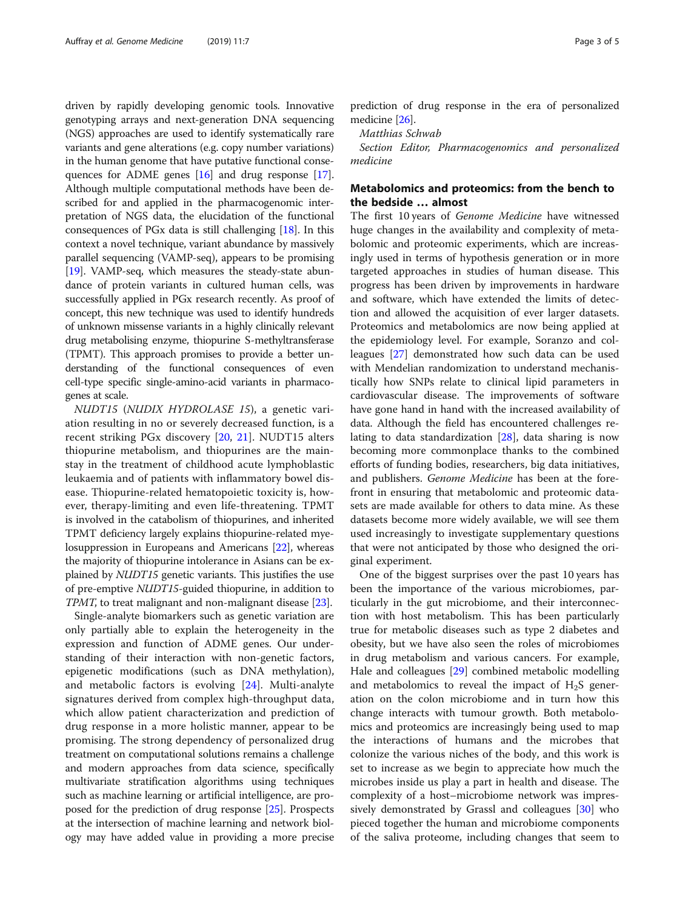driven by rapidly developing genomic tools. Innovative genotyping arrays and next-generation DNA sequencing (NGS) approaches are used to identify systematically rare variants and gene alterations (e.g. copy number variations) in the human genome that have putative functional consequences for ADME genes [[16](#page-4-0)] and drug response [[17](#page-4-0)]. Although multiple computational methods have been described for and applied in the pharmacogenomic interpretation of NGS data, the elucidation of the functional consequences of PGx data is still challenging [\[18\]](#page-4-0). In this context a novel technique, variant abundance by massively parallel sequencing (VAMP-seq), appears to be promising [[19](#page-4-0)]. VAMP-seq, which measures the steady-state abundance of protein variants in cultured human cells, was successfully applied in PGx research recently. As proof of concept, this new technique was used to identify hundreds of unknown missense variants in a highly clinically relevant drug metabolising enzyme, thiopurine S-methyltransferase (TPMT). This approach promises to provide a better understanding of the functional consequences of even cell-type specific single-amino-acid variants in pharmacogenes at scale.

NUDT15 (NUDIX HYDROLASE 15), a genetic variation resulting in no or severely decreased function, is a recent striking PGx discovery [[20,](#page-4-0) [21](#page-4-0)]. NUDT15 alters thiopurine metabolism, and thiopurines are the mainstay in the treatment of childhood acute lymphoblastic leukaemia and of patients with inflammatory bowel disease. Thiopurine-related hematopoietic toxicity is, however, therapy-limiting and even life-threatening. TPMT is involved in the catabolism of thiopurines, and inherited TPMT deficiency largely explains thiopurine-related myelosuppression in Europeans and Americans [[22](#page-4-0)], whereas the majority of thiopurine intolerance in Asians can be explained by NUDT15 genetic variants. This justifies the use of pre-emptive NUDT15-guided thiopurine, in addition to TPMT, to treat malignant and non-malignant disease [\[23\]](#page-4-0).

Single-analyte biomarkers such as genetic variation are only partially able to explain the heterogeneity in the expression and function of ADME genes. Our understanding of their interaction with non-genetic factors, epigenetic modifications (such as DNA methylation), and metabolic factors is evolving [\[24](#page-4-0)]. Multi-analyte signatures derived from complex high-throughput data, which allow patient characterization and prediction of drug response in a more holistic manner, appear to be promising. The strong dependency of personalized drug treatment on computational solutions remains a challenge and modern approaches from data science, specifically multivariate stratification algorithms using techniques such as machine learning or artificial intelligence, are proposed for the prediction of drug response [[25](#page-4-0)]. Prospects at the intersection of machine learning and network biology may have added value in providing a more precise

prediction of drug response in the era of personalized medicine [[26](#page-4-0)].

Matthias Schwab

Section Editor, Pharmacogenomics and personalized medicine

# Metabolomics and proteomics: from the bench to the bedside … almost

The first 10 years of Genome Medicine have witnessed huge changes in the availability and complexity of metabolomic and proteomic experiments, which are increasingly used in terms of hypothesis generation or in more targeted approaches in studies of human disease. This progress has been driven by improvements in hardware and software, which have extended the limits of detection and allowed the acquisition of ever larger datasets. Proteomics and metabolomics are now being applied at the epidemiology level. For example, Soranzo and colleagues [[27\]](#page-4-0) demonstrated how such data can be used with Mendelian randomization to understand mechanistically how SNPs relate to clinical lipid parameters in cardiovascular disease. The improvements of software have gone hand in hand with the increased availability of data. Although the field has encountered challenges relating to data standardization [[28\]](#page-4-0), data sharing is now becoming more commonplace thanks to the combined efforts of funding bodies, researchers, big data initiatives, and publishers. Genome Medicine has been at the forefront in ensuring that metabolomic and proteomic datasets are made available for others to data mine. As these datasets become more widely available, we will see them used increasingly to investigate supplementary questions that were not anticipated by those who designed the original experiment.

One of the biggest surprises over the past 10 years has been the importance of the various microbiomes, particularly in the gut microbiome, and their interconnection with host metabolism. This has been particularly true for metabolic diseases such as type 2 diabetes and obesity, but we have also seen the roles of microbiomes in drug metabolism and various cancers. For example, Hale and colleagues [[29\]](#page-4-0) combined metabolic modelling and metabolomics to reveal the impact of  $H_2S$  generation on the colon microbiome and in turn how this change interacts with tumour growth. Both metabolomics and proteomics are increasingly being used to map the interactions of humans and the microbes that colonize the various niches of the body, and this work is set to increase as we begin to appreciate how much the microbes inside us play a part in health and disease. The complexity of a host–microbiome network was impressively demonstrated by Grassl and colleagues [[30\]](#page-4-0) who pieced together the human and microbiome components of the saliva proteome, including changes that seem to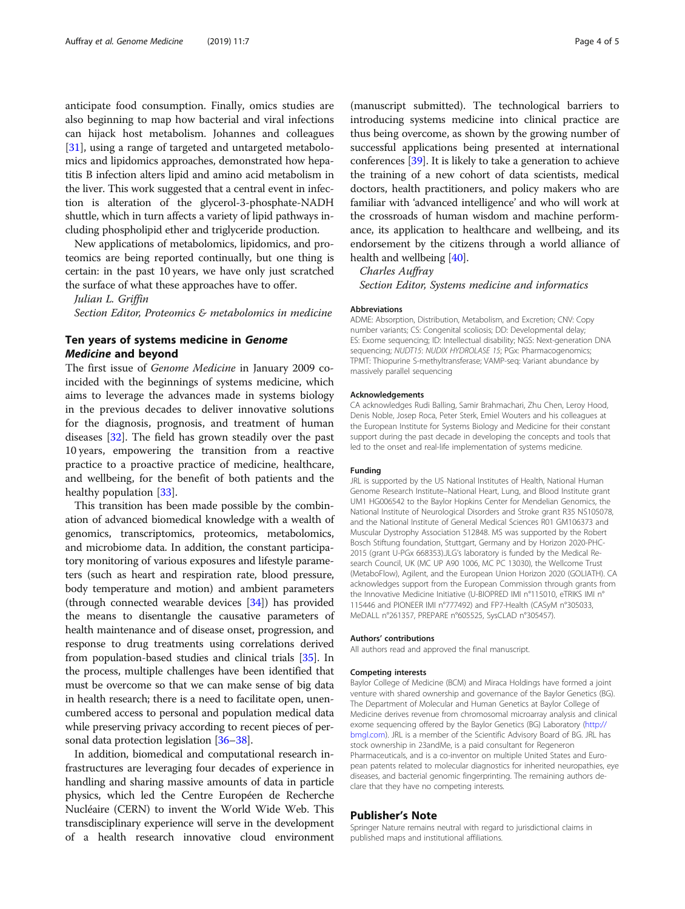anticipate food consumption. Finally, omics studies are also beginning to map how bacterial and viral infections can hijack host metabolism. Johannes and colleagues [[31\]](#page-4-0), using a range of targeted and untargeted metabolomics and lipidomics approaches, demonstrated how hepatitis B infection alters lipid and amino acid metabolism in the liver. This work suggested that a central event in infection is alteration of the glycerol-3-phosphate-NADH shuttle, which in turn affects a variety of lipid pathways including phospholipid ether and triglyceride production.

New applications of metabolomics, lipidomics, and proteomics are being reported continually, but one thing is certain: in the past 10 years, we have only just scratched the surface of what these approaches have to offer.

Julian L. Griffin

Section Editor, Proteomics & metabolomics in medicine

# Ten years of systems medicine in Genome Medicine and beyond

The first issue of Genome Medicine in January 2009 coincided with the beginnings of systems medicine, which aims to leverage the advances made in systems biology in the previous decades to deliver innovative solutions for the diagnosis, prognosis, and treatment of human diseases [[32\]](#page-4-0). The field has grown steadily over the past 10 years, empowering the transition from a reactive practice to a proactive practice of medicine, healthcare, and wellbeing, for the benefit of both patients and the healthy population [\[33](#page-4-0)].

This transition has been made possible by the combination of advanced biomedical knowledge with a wealth of genomics, transcriptomics, proteomics, metabolomics, and microbiome data. In addition, the constant participatory monitoring of various exposures and lifestyle parameters (such as heart and respiration rate, blood pressure, body temperature and motion) and ambient parameters (through connected wearable devices [\[34\]](#page-4-0)) has provided the means to disentangle the causative parameters of health maintenance and of disease onset, progression, and response to drug treatments using correlations derived from population-based studies and clinical trials [\[35\]](#page-4-0). In the process, multiple challenges have been identified that must be overcome so that we can make sense of big data in health research; there is a need to facilitate open, unencumbered access to personal and population medical data while preserving privacy according to recent pieces of personal data protection legislation [[36](#page-4-0)–[38\]](#page-4-0).

In addition, biomedical and computational research infrastructures are leveraging four decades of experience in handling and sharing massive amounts of data in particle physics, which led the Centre Européen de Recherche Nucléaire (CERN) to invent the World Wide Web. This transdisciplinary experience will serve in the development of a health research innovative cloud environment

(manuscript submitted). The technological barriers to introducing systems medicine into clinical practice are thus being overcome, as shown by the growing number of successful applications being presented at international conferences [[39](#page-4-0)]. It is likely to take a generation to achieve the training of a new cohort of data scientists, medical doctors, health practitioners, and policy makers who are familiar with 'advanced intelligence' and who will work at the crossroads of human wisdom and machine performance, its application to healthcare and wellbeing, and its endorsement by the citizens through a world alliance of health and wellbeing [[40\]](#page-4-0).

Charles Auffray

Section Editor, Systems medicine and informatics

#### Abbreviations

ADME: Absorption, Distribution, Metabolism, and Excretion; CNV: Copy number variants; CS: Congenital scoliosis; DD: Developmental delay; ES: Exome sequencing; ID: Intellectual disability; NGS: Next-generation DNA sequencing; NUDT15: NUDIX HYDROLASE 15; PGx: Pharmacogenomics; TPMT: Thiopurine S-methyltransferase; VAMP-seq: Variant abundance by massively parallel sequencing

#### Acknowledgements

CA acknowledges Rudi Balling, Samir Brahmachari, Zhu Chen, Leroy Hood, Denis Noble, Josep Roca, Peter Sterk, Emiel Wouters and his colleagues at the European Institute for Systems Biology and Medicine for their constant support during the past decade in developing the concepts and tools that led to the onset and real-life implementation of systems medicine.

#### Funding

JRL is supported by the US National Institutes of Health, National Human Genome Research Institute–National Heart, Lung, and Blood Institute grant UM1 HG006542 to the Baylor Hopkins Center for Mendelian Genomics, the National Institute of Neurological Disorders and Stroke grant R35 NS105078, and the National Institute of General Medical Sciences R01 GM106373 and Muscular Dystrophy Association 512848. MS was supported by the Robert Bosch Stiftung foundation, Stuttgart, Germany and by Horizon 2020-PHC-2015 (grant U-PGx 668353).JLG's laboratory is funded by the Medical Research Council, UK (MC UP A90 1006, MC PC 13030), the Wellcome Trust (MetaboFlow), Agilent, and the European Union Horizon 2020 (GOLIATH). CA acknowledges support from the European Commission through grants from the Innovative Medicine Initiative (U-BIOPRED IMI n°115010, eTRIKS IMI n° 115446 and PIONEER IMI n°777492) and FP7-Health (CASyM n°305033, MeDALL n°261357, PREPARE n°605525, SysCLAD n°305457).

#### Authors' contributions

All authors read and approved the final manuscript.

#### Competing interests

Baylor College of Medicine (BCM) and Miraca Holdings have formed a joint venture with shared ownership and governance of the Baylor Genetics (BG). The Department of Molecular and Human Genetics at Baylor College of Medicine derives revenue from chromosomal microarray analysis and clinical exome sequencing offered by the Baylor Genetics (BG) Laboratory ([http://](http://bmgl.com) [bmgl.com](http://bmgl.com)). JRL is a member of the Scientific Advisory Board of BG. JRL has stock ownership in 23andMe, is a paid consultant for Regeneron Pharmaceuticals, and is a co-inventor on multiple United States and European patents related to molecular diagnostics for inherited neuropathies, eye diseases, and bacterial genomic fingerprinting. The remaining authors declare that they have no competing interests.

#### Publisher's Note

Springer Nature remains neutral with regard to jurisdictional claims in published maps and institutional affiliations.